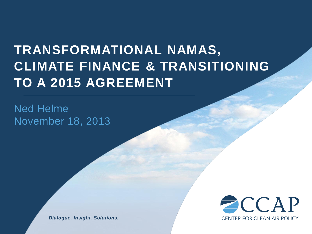# **TRANSFORMATIONAL NAMAS, CLIMATE FINANCE & TRANSITIONING TO A 2015 AGREEMENT**

Ned Helme November 18, 2013

> $\equiv$  CCAP **CENTER FOR CLEAN AIR POLICY**

*Dialogue. Insight. Solutions.*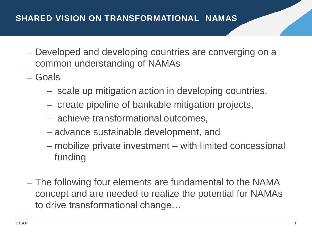- Developed and developing countries are converging on a common understanding of NAMAs
- Goals:
	- scale up mitigation action in developing countries,
	- create pipeline of bankable mitigation projects,
	- achieve transformational outcomes,
	- advance sustainable development, and
	- mobilize private investment with limited concessional funding
- The following four elements are fundamental to the NAMA concept and are needed to realize the potential for NAMAs to drive transformational change…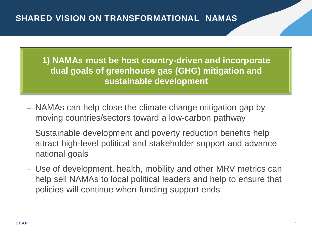**1) NAMAs must be host country-driven and incorporate dual goals of greenhouse gas (GHG) mitigation and sustainable development**

- NAMAs can help close the climate change mitigation gap by moving countries/sectors toward a low-carbon pathway
- Sustainable development and poverty reduction benefits help attract high-level political and stakeholder support and advance national goals
- Use of development, health, mobility and other MRV metrics can help sell NAMAs to local political leaders and help to ensure that policies will continue when funding support ends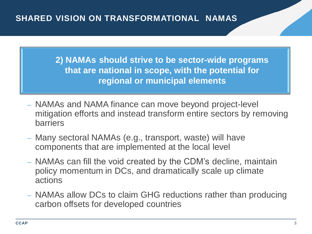**2) NAMAs should strive to be sector-wide programs that are national in scope, with the potential for regional or municipal elements**

- NAMAs and NAMA finance can move beyond project-level mitigation efforts and instead transform entire sectors by removing barriers
- Many sectoral NAMAs (e.g., transport, waste) will have components that are implemented at the local level
- NAMAs can fill the void created by the CDM's decline, maintain policy momentum in DCs, and dramatically scale up climate actions
- NAMAs allow DCs to claim GHG reductions rather than producing carbon offsets for developed countries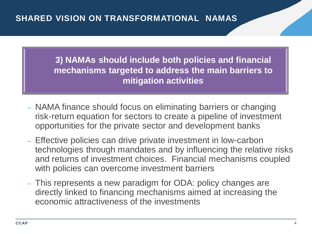**3) NAMAs should include both policies and financial mechanisms targeted to address the main barriers to mitigation activities**

- NAMA finance should focus on eliminating barriers or changing risk-return equation for sectors to create a pipeline of investment opportunities for the private sector and development banks
- Effective policies can drive private investment in low-carbon technologies through mandates and by influencing the relative risks and returns of investment choices. Financial mechanisms coupled with policies can overcome investment barriers
- This represents a new paradigm for ODA: policy changes are directly linked to financing mechanisms aimed at increasing the economic attractiveness of the investments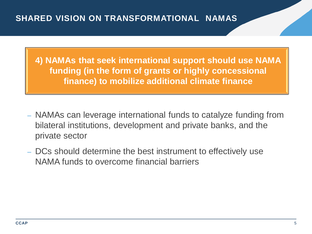**4) NAMAs that seek international support should use NAMA funding (in the form of grants or highly concessional finance) to mobilize additional climate finance**

- NAMAs can leverage international funds to catalyze funding from bilateral institutions, development and private banks, and the private sector
- DCs should determine the best instrument to effectively use NAMA funds to overcome financial barriers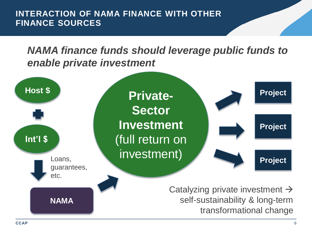**INTERACTION OF NAMA FINANCE WITH OTHER FINANCE SOURCES**

*NAMA finance funds should leverage public funds to enable private investment*

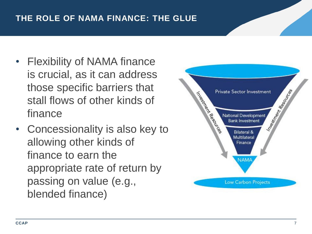# **THE ROLE OF NAMA FINANCE: THE GLUE**

- Flexibility of NAMA finance is crucial, as it can address those specific barriers that stall flows of other kinds of finance
- Concessionality is also key to allowing other kinds of finance to earn the appropriate rate of return by passing on value (e.g., blended finance)

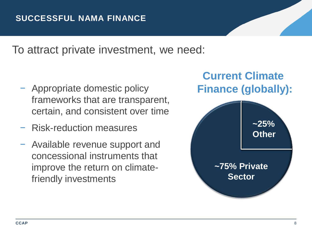To attract private investment, we need:

- − Appropriate domestic policy frameworks that are transparent, certain, and consistent over time
- − Risk-reduction measures
- − Available revenue support and concessional instruments that improve the return on climatefriendly investments

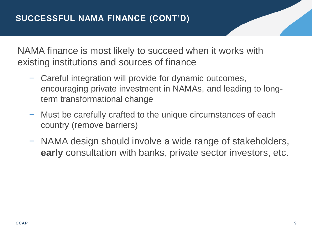NAMA finance is most likely to succeed when it works with existing institutions and sources of finance

- − Careful integration will provide for dynamic outcomes, encouraging private investment in NAMAs, and leading to longterm transformational change
- − Must be carefully crafted to the unique circumstances of each country (remove barriers)
- − NAMA design should involve a wide range of stakeholders, **early** consultation with banks, private sector investors, etc.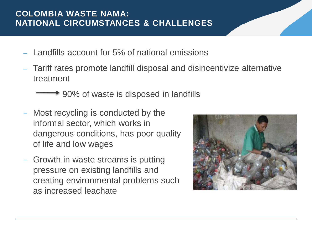# **COLOMBIA WASTE NAMA: NATIONAL CIRCUMSTANCES & CHALLENGES**

- Landfills account for 5% of national emissions
- Tariff rates promote landfill disposal and disincentivize alternative treatment

**→ 90% of waste is disposed in landfills** 

- Most recycling is conducted by the informal sector, which works in dangerous conditions, has poor quality of life and low wages
- − Growth in waste streams is putting pressure on existing landfills and creating environmental problems such as increased leachate

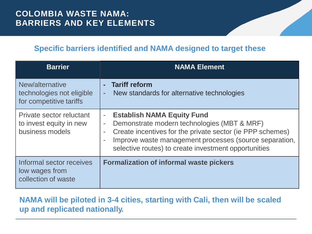# **COLOMBIA WASTE NAMA: BARRIERS AND KEY ELEMENTS**

#### **Specific barriers identified and NAMA designed to target these**

| <b>Barrier</b>                                                          | <b>NAMA Element</b>                                                                                                                                                                                                                                                                                                                       |
|-------------------------------------------------------------------------|-------------------------------------------------------------------------------------------------------------------------------------------------------------------------------------------------------------------------------------------------------------------------------------------------------------------------------------------|
| New/alternative<br>technologies not eligible<br>for competitive tariffs | <b>Tariff reform</b><br>$\sim$<br>New standards for alternative technologies<br>$\blacksquare$                                                                                                                                                                                                                                            |
| Private sector reluctant<br>to invest equity in new<br>business models  | <b>Establish NAMA Equity Fund</b><br>$\blacksquare$<br>Demonstrate modern technologies (MBT & MRF)<br>$\qquad \qquad \blacksquare$<br>Create incentives for the private sector (ie PPP schemes)<br>$\equiv$<br>Improve waste management processes (source separation,<br>$\equiv$<br>selective routes) to create investment opportunities |
| Informal sector receives<br>low wages from<br>collection of waste       | <b>Formalization of informal waste pickers</b>                                                                                                                                                                                                                                                                                            |

#### **NAMA will be piloted in 3-4 cities, starting with Cali, then will be scaled up and replicated nationally.**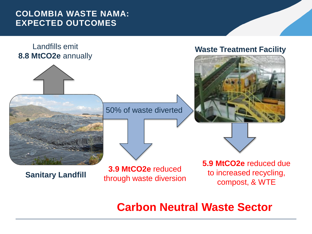## **COLOMBIA WASTE NAMA: EXPECTED OUTCOMES**



# **Carbon Neutral Waste Sector**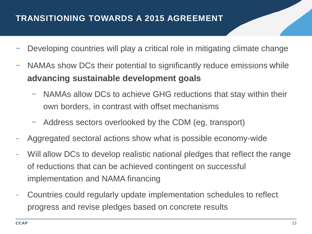# **TRANSITIONING TOWARDS A 2015 AGREEMENT**

- Developing countries will play a critical role in mitigating climate change
- NAMAs show DCs their potential to significantly reduce emissions while **advancing sustainable development goals**
	- NAMAs allow DCs to achieve GHG reductions that stay within their own borders, in contrast with offset mechanisms
	- − Address sectors overlooked by the CDM (eg, transport)
- − Aggregated sectoral actions show what is possible economy-wide
- Will allow DCs to develop realistic national pledges that reflect the range of reductions that can be achieved contingent on successful implementation and NAMA financing
- − Countries could regularly update implementation schedules to reflect progress and revise pledges based on concrete results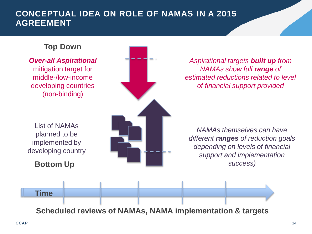## **CONCEPTUAL IDEA ON ROLE OF NAMAS IN A 2015 AGREEMENT**

#### **Top Down**

*Over-all Aspirational* mitigation target for middle-/low-income developing countries (non-binding) List of NAMAs planned to be implemented by developing country **Bottom Up Scheduled reviews of NAMAs, NAMA implementation & targets** *Aspirational targets built up from NAMAs show full range of estimated reductions related to level of financial support provided NAMAs themselves can have different ranges of reduction goals depending on levels of financial support and implementation success)* **Time**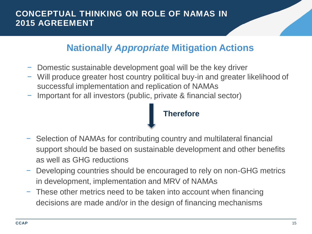# **CONCEPTUAL THINKING ON ROLE OF NAMAS IN 2015 AGREEMENT**

# **Nationally** *Appropriate* **Mitigation Actions**

- − Domestic sustainable development goal will be the key driver
- − Will produce greater host country political buy-in and greater likelihood of successful implementation and replication of NAMAs
- − Important for all investors (public, private & financial sector)

#### **Therefore**

- − Selection of NAMAs for contributing country and multilateral financial support should be based on sustainable development and other benefits as well as GHG reductions
- − Developing countries should be encouraged to rely on non-GHG metrics in development, implementation and MRV of NAMAs
- − These other metrics need to be taken into account when financing decisions are made and/or in the design of financing mechanisms